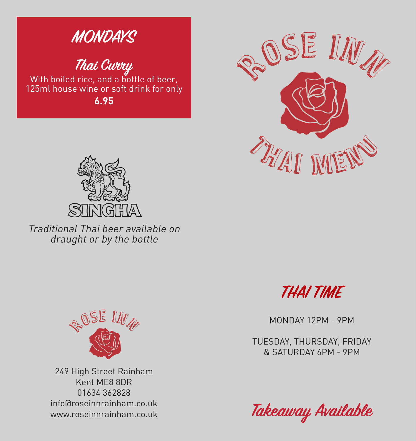

**Thai Curry**<br>With boiled rice, and a bottle of beer, 125ml house wine or soft drink for only **6.95**





Traditional Thai beer available on draught or by the bottle



MONDAY 12PM - 9PM

TUESDAY, THURSDAY, FRIDAY & SATURDAY 6PM - 9PM





249 High Street Rainham Kent ME8 8DR 01634 362828 info@roseinnrainham.co.uk www.roseinnrainham.co.uk